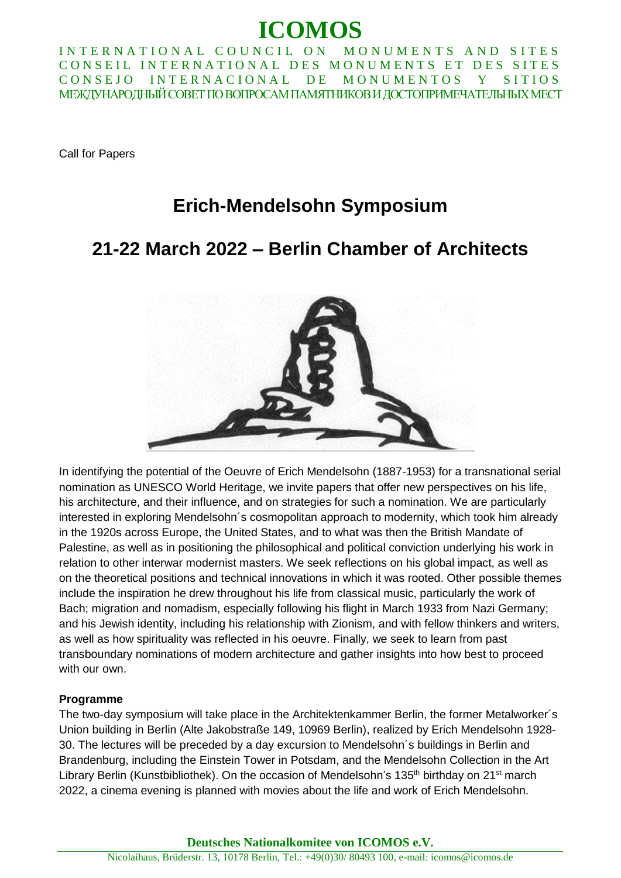# **ICOMOS**

INTERNATIONAL COUNCIL ON MONUMENTS AND SITES CONSEIL INTERNATIONAL DES MONUMENTS ET DES SITES CONSEJO INTERNACIONAL DE MONUMENTOS Y SITIOS МЕЖДУНАРОДНЫЙ СОВЕТ ПО ВОПРОСАМ ПАМЯТНИКОВ И ДОСТОПРИМЕЧАТЕЛЬНЫХ МЕСТ

Call for Papers

### **Erich-Mendelsohn Symposium**

## **21-22 March 2022 – Berlin Chamber of Architects**



In identifying the potential of the Oeuvre of Erich Mendelsohn (1887-1953) for a transnational serial nomination as UNESCO World Heritage, we invite papers that offer new perspectives on his life, his architecture, and their influence, and on strategies for such a nomination. We are particularly interested in exploring Mendelsohn´s cosmopolitan approach to modernity, which took him already in the 1920s across Europe, the United States, and to what was then the British Mandate of Palestine, as well as in positioning the philosophical and political conviction underlying his work in relation to other interwar modernist masters. We seek reflections on his global impact, as well as on the theoretical positions and technical innovations in which it was rooted. Other possible themes include the inspiration he drew throughout his life from classical music, particularly the work of Bach; migration and nomadism, especially following his flight in March 1933 from Nazi Germany; and his Jewish identity, including his relationship with Zionism, and with fellow thinkers and writers, as well as how spirituality was reflected in his oeuvre. Finally, we seek to learn from past transboundary nominations of modern architecture and gather insights into how best to proceed with our own.

#### **Programme**

The two-day symposium will take place in the Architektenkammer Berlin, the former Metalworker´s Union building in Berlin (Alte Jakobstraße 149, 10969 Berlin), realized by Erich Mendelsohn 1928- 30. The lectures will be preceded by a day excursion to Mendelsohn´s buildings in Berlin and Brandenburg, including the Einstein Tower in Potsdam, and the Mendelsohn Collection in the Art Library Berlin (Kunstbibliothek). On the occasion of Mendelsohn's 135<sup>th</sup> birthday on 21<sup>st</sup> march 2022, a cinema evening is planned with movies about the life and work of Erich Mendelsohn.